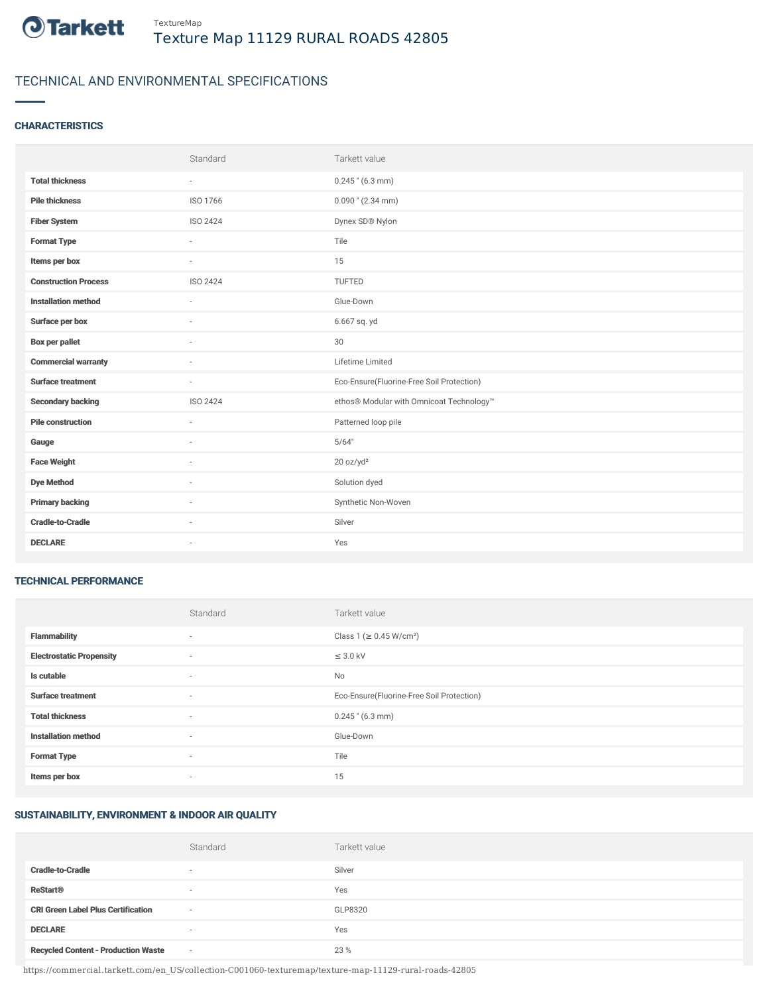

# TECHNICAL AND ENVIRONMENTAL SPECIFICATIONS

## **CHARACTERISTICS**

|                             | Standard                 | Tarkett value                             |
|-----------------------------|--------------------------|-------------------------------------------|
| <b>Total thickness</b>      | $\overline{\phantom{a}}$ | $0.245$ " (6.3 mm)                        |
| <b>Pile thickness</b>       | ISO 1766                 | $0.090$ " (2.34 mm)                       |
| <b>Fiber System</b>         | ISO 2424                 | Dynex SD® Nylon                           |
| <b>Format Type</b>          | ٠                        | Tile                                      |
| Items per box               | ÷                        | 15                                        |
| <b>Construction Process</b> | ISO 2424                 | TUFTED                                    |
| <b>Installation method</b>  | $\overline{\phantom{a}}$ | Glue-Down                                 |
| Surface per box             | ٠                        | 6.667 sq. yd                              |
| <b>Box per pallet</b>       | $\sim$                   | 30                                        |
| <b>Commercial warranty</b>  | ÷.                       | Lifetime Limited                          |
| <b>Surface treatment</b>    | $\overline{\phantom{a}}$ | Eco-Ensure(Fluorine-Free Soil Protection) |
| <b>Secondary backing</b>    | ISO 2424                 | ethos® Modular with Omnicoat Technology™  |
| <b>Pile construction</b>    | ×                        | Patterned loop pile                       |
| Gauge                       | ÷.                       | 5/64"                                     |
| <b>Face Weight</b>          | ٠                        | 20 oz/yd <sup>2</sup>                     |
| <b>Dye Method</b>           | $\sim$                   | Solution dyed                             |
| <b>Primary backing</b>      | ٠                        | Synthetic Non-Woven                       |
| <b>Cradle-to-Cradle</b>     | ٠                        | Silver                                    |
| <b>DECLARE</b>              | $\sim$                   | Yes                                       |

#### TECHNICAL PERFORMANCE

|                                 | Standard                 | Tarkett value                             |
|---------------------------------|--------------------------|-------------------------------------------|
| <b>Flammability</b>             | $\sim$                   | Class 1 ( $\geq$ 0.45 W/cm <sup>2</sup> ) |
| <b>Electrostatic Propensity</b> | $\sim$                   | $\leq$ 3.0 kV                             |
| Is cutable                      | $\sim$                   | No                                        |
| <b>Surface treatment</b>        | $\overline{\phantom{a}}$ | Eco-Ensure(Fluorine-Free Soil Protection) |
| <b>Total thickness</b>          | $\overline{\phantom{a}}$ | $0.245$ " (6.3 mm)                        |
| <b>Installation method</b>      | $\sim$                   | Glue-Down                                 |
| <b>Format Type</b>              | ٠                        | Tile                                      |
| Items per box                   | ٠                        | 15                                        |

### SUSTAINABILITY, ENVIRONMENT & INDOOR AIR QUALITY

|                                            | Standard                 | Tarkett value |
|--------------------------------------------|--------------------------|---------------|
| <b>Cradle-to-Cradle</b>                    | $\overline{\phantom{a}}$ | Silver        |
| <b>ReStart®</b>                            | $\overline{\phantom{a}}$ | Yes           |
| <b>CRI Green Label Plus Certification</b>  | $\sim$                   | GLP8320       |
| <b>DECLARE</b>                             | $\overline{\phantom{a}}$ | Yes           |
| <b>Recycled Content - Production Waste</b> | $\sim$                   | 23 %          |

https://commercial.tarkett.com/en\_US/collection-C001060-texturemap/texture-map-11129-rural-roads-42805